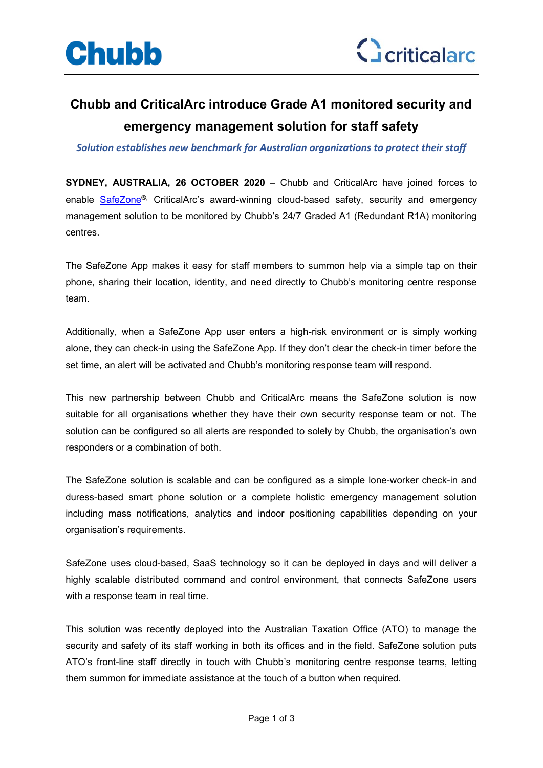



## **Chubb and CriticalArc introduce Grade A1 monitored security and emergency management solution for staff safety**

*Solution establishes new benchmark for Australian organizations to protect their staff*

**SYDNEY, AUSTRALIA, 26 OCTOBER 2020** – Chubb and CriticalArc have joined forces to enable SafeZone®, CriticalArc's award-winning cloud-based safety, security and emergency management solution to be monitored by Chubb's 24/7 Graded A1 (Redundant R1A) monitoring centres.

The SafeZone App makes it easy for staff members to summon help via a simple tap on their phone, sharing their location, identity, and need directly to Chubb's monitoring centre response team.

Additionally, when a SafeZone App user enters a high-risk environment or is simply working alone, they can check-in using the SafeZone App. If they don't clear the check-in timer before the set time, an alert will be activated and Chubb's monitoring response team will respond.

This new partnership between Chubb and CriticalArc means the SafeZone solution is now suitable for all organisations whether they have their own security response team or not. The solution can be configured so all alerts are responded to solely by Chubb, the organisation's own responders or a combination of both.

The SafeZone solution is scalable and can be configured as a simple lone-worker check-in and duress-based smart phone solution or a complete holistic emergency management solution including mass notifications, analytics and indoor positioning capabilities depending on your organisation's requirements.

SafeZone uses cloud-based, SaaS technology so it can be deployed in days and will deliver a highly scalable distributed command and control environment, that connects SafeZone users with a response team in real time.

This solution was recently deployed into the Australian Taxation Office (ATO) to manage the security and safety of its staff working in both its offices and in the field. SafeZone solution puts ATO's front-line staff directly in touch with Chubb's monitoring centre response teams, letting them summon for immediate assistance at the touch of a button when required.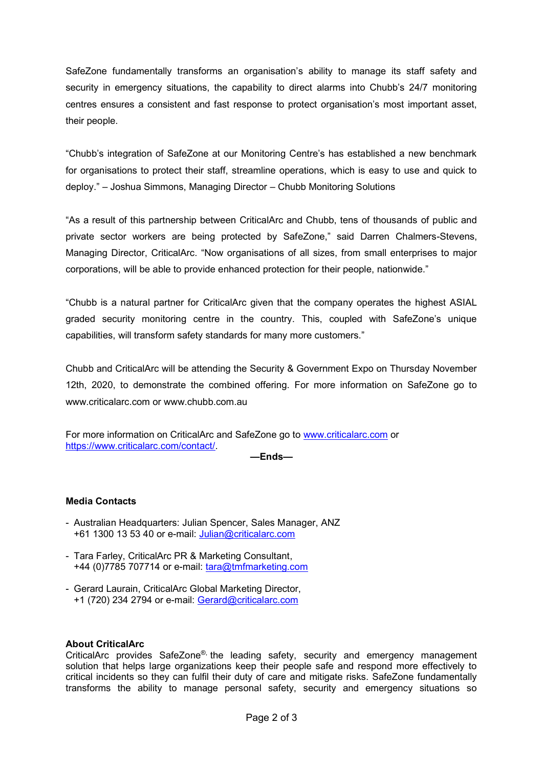SafeZone fundamentally transforms an organisation's ability to manage its staff safety and security in emergency situations, the capability to direct alarms into Chubb's 24/7 monitoring centres ensures a consistent and fast response to protect organisation's most important asset, their people.

"Chubb's integration of SafeZone at our Monitoring Centre's has established a new benchmark for organisations to protect their staff, streamline operations, which is easy to use and quick to deploy." – Joshua Simmons, Managing Director – Chubb Monitoring Solutions

"As a result of this partnership between CriticalArc and Chubb, tens of thousands of public and private sector workers are being protected by SafeZone," said Darren Chalmers-Stevens, Managing Director, CriticalArc. "Now organisations of all sizes, from small enterprises to major corporations, will be able to provide enhanced protection for their people, nationwide."

"Chubb is a natural partner for CriticalArc given that the company operates the highest ASIAL graded security monitoring centre in the country. This, coupled with SafeZone's unique capabilities, will transform safety standards for many more customers."

Chubb and CriticalArc will be attending the Security & Government Expo on Thursday November 12th, 2020, to demonstrate the combined offering. For more information on SafeZone go to www.criticalarc.com or www.chubb.com.au

For more information on CriticalArc and SafeZone go to www.criticalarc.com or https://www.criticalarc.com/contact/.

**—Ends—**

## **Media Contacts**

- Australian Headquarters: Julian Spencer, Sales Manager, ANZ +61 1300 13 53 40 or e-mail: Julian@criticalarc.com
- Tara Farley, CriticalArc PR & Marketing Consultant, +44 (0)7785 707714 or e-mail: tara@tmfmarketing.com
- Gerard Laurain, CriticalArc Global Marketing Director, +1 (720) 234 2794 or e-mail: Gerard@criticalarc.com

## **About CriticalArc**

CriticalArc provides SafeZone®, the leading safety, security and emergency management solution that helps large organizations keep their people safe and respond more effectively to critical incidents so they can fulfil their duty of care and mitigate risks. SafeZone fundamentally transforms the ability to manage personal safety, security and emergency situations so